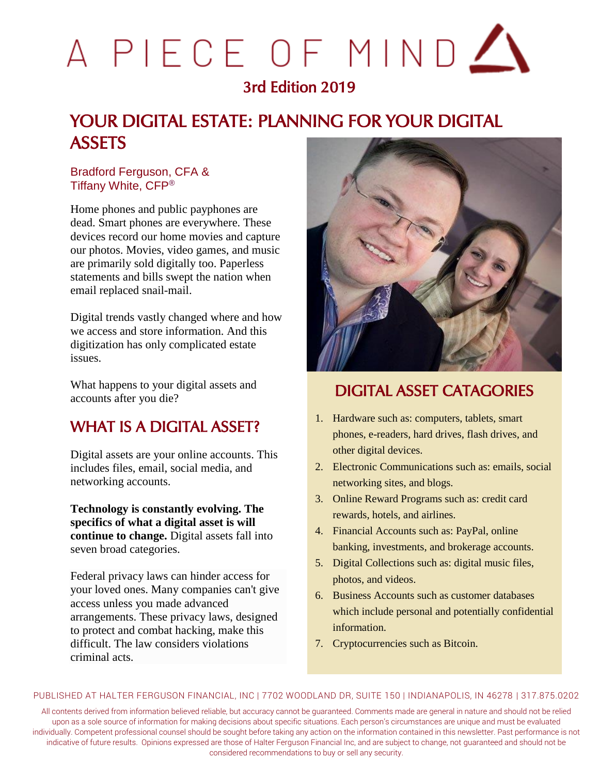# A PIECE OF MIND A

# 3rd Edition 2019

# YOUR DIGITAL ESTATE: PLANNING FOR YOUR DIGITAL **ASSETS**

#### Bradford Ferguson, CFA & Tiffany White, CFP®

Home phones and public payphones are dead. Smart phones are everywhere. These devices record our home movies and capture our photos. Movies, video games, and music are primarily sold digitally too. Paperless statements and bills swept the nation when email replaced snail-mail.

Digital trends vastly changed where and how we access and store information. And this digitization has only complicated estate issues.

What happens to your digital assets and accounts after you die?

## WHAT IS A DIGITAL ASSET?

Digital assets are your online accounts. This includes files, email, social media, and networking accounts.

**Technology is constantly evolving. The specifics of what a digital asset is will continue to change.** Digital assets fall into seven broad categories.

Federal privacy laws can hinder access for your loved ones. Many companies can't give access unless you made advanced arrangements. These privacy laws, designed to protect and combat hacking, make this difficult. The law considers violations criminal acts.



# DIGITAL ASSET CATAGORIES

- 1. Hardware such as: computers, tablets, smart phones, e-readers, hard drives, flash drives, and other digital devices.
- 2. Electronic Communications such as: emails, social networking sites, and blogs.
- 3. Online Reward Programs such as: credit card rewards, hotels, and airlines.
- 4. Financial Accounts such as: PayPal, online banking, investments, and brokerage accounts.
- 5. Digital Collections such as: digital music files, photos, and videos.
- 6. Business Accounts such as customer databases which include personal and potentially confidential information.
- 7. Cryptocurrencies such as Bitcoin.

#### PUBLISHED AT HALTER FERGUSON FINANCIAL, INC | 7702 WOODLAND DR, SUITE 150 | INDIANAPOLIS, IN 46278 | 317.875.0202

All contents derived from information believed reliable, but accuracy cannot be guaranteed. Comments made are general in nature and should not be relied upon as a sole source of information for making decisions about specific situations. Each person's circumstances are unique and must be evaluated individually. Competent professional counsel should be sought before taking any action on the information contained in this newsletter. Past performance is not indicative of future results. Opinions expressed are those of Halter Ferguson Financial Inc, and are subject to change, not guaranteed and should not be considered recommendations to buy or sell any security.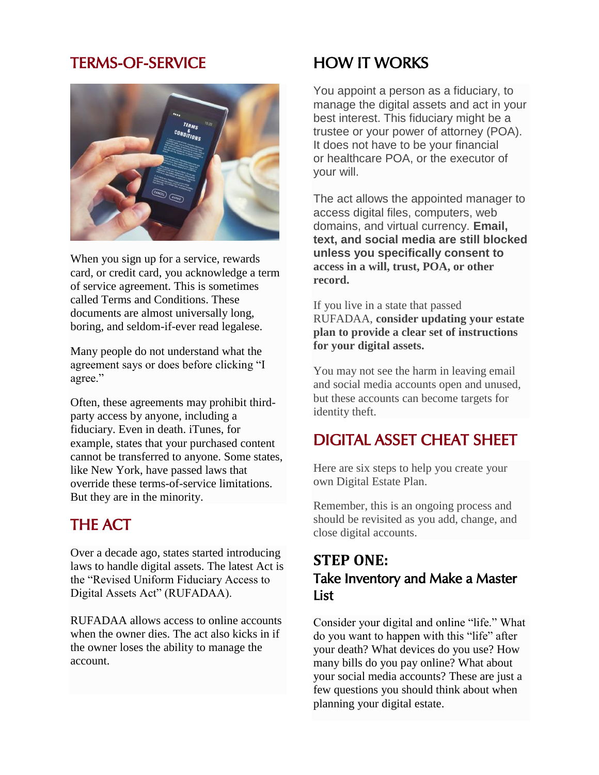## TERMS-OF-SERVICE



When you sign up for a service, rewards card, or credit card, you acknowledge a term of service agreement. This is sometimes called Terms and Conditions. These documents are almost universally long, boring, and seldom-if-ever read legalese.

Many people do not understand what the agreement says or does before clicking "I agree."

Often, these agreements may prohibit thirdparty access by anyone, including a fiduciary. Even in death. iTunes, for example, states that your purchased content cannot be transferred to anyone. Some states, like New York, have passed laws that override these terms-of-service limitations. But they are in the minority.

# THE ACT

Over a decade ago, states started introducing laws to handle digital assets. The latest Act is the "Revised Uniform Fiduciary Access to Digital Assets Act" (RUFADAA).

RUFADAA allows access to online accounts when the owner dies. The act also kicks in if the owner loses the ability to manage the account.

# HOW IT WORKS

You appoint a person as a fiduciary, to manage the digital assets and act in your best interest. This fiduciary might be a trustee or your power of attorney (POA). It does not have to be your financial or healthcare POA, or the executor of your will.

The act allows the appointed manager to access digital files, computers, web domains, and virtual currency. **Email, text, and social media are still blocked unless you specifically consent to access in a will, trust, POA, or other record.**

If you live in a state that passed RUFADAA, **consider updating your estate plan to provide a clear set of instructions for your digital assets.**

You may not see the harm in leaving email and social media accounts open and unused, but these accounts can become targets for identity theft.

# DIGITAL ASSET CHEAT SHEET

Here are six steps to help you create your own Digital Estate Plan.

Remember, this is an ongoing process and should be revisited as you add, change, and close digital accounts.

### **STEP ONE:** Take Inventory and Make a Master List

Consider your digital and online "life." What do you want to happen with this "life" after your death? What devices do you use? How many bills do you pay online? What about your social media accounts? These are just a few questions you should think about when planning your digital estate.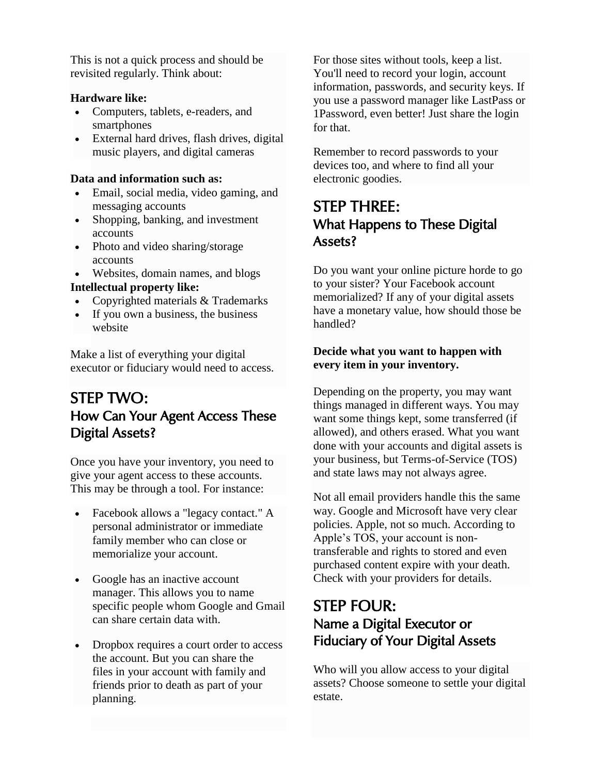This is not a quick process and should be revisited regularly. Think about:

#### **Hardware like:**

- Computers, tablets, e-readers, and smartphones
- External hard drives, flash drives, digital music players, and digital cameras

#### **Data and information such as:**

- Email, social media, video gaming, and messaging accounts
- Shopping, banking, and investment accounts
- Photo and video sharing/storage accounts
- Websites, domain names, and blogs

#### **Intellectual property like:**

- Copyrighted materials & Trademarks
- If you own a business, the business website

Make a list of everything your digital executor or fiduciary would need to access.

## STEP TWO: How Can Your Agent Access These Digital Assets?

Once you have your inventory, you need to give your agent access to these accounts. This may be through a tool. For instance:

- Facebook allows a "legacy contact." A personal administrator or immediate family member who can close or memorialize your account.
- Google has an inactive account manager. This allows you to name specific people whom Google and Gmail can share certain data with.
- Dropbox requires a court order to access the account. But you can share the files in your account with family and friends prior to death as part of your planning.

For those sites without tools, keep a list. You'll need to record your login, account information, passwords, and security keys. If you use a password manager like LastPass or 1Password, even better! Just share the login for that.

Remember to record passwords to your devices too, and where to find all your electronic goodies.

## STEP THREE: What Happens to These Digital Assets?

Do you want your online picture horde to go to your sister? Your Facebook account memorialized? If any of your digital assets have a monetary value, how should those be handled?

#### **Decide what you want to happen with every item in your inventory.**

Depending on the property, you may want things managed in different ways. You may want some things kept, some transferred (if allowed), and others erased. What you want done with your accounts and digital assets is your business, but Terms-of-Service (TOS) and state laws may not always agree.

Not all email providers handle this the same way. Google and Microsoft have very clear policies. Apple, not so much. According to Apple's TOS, your account is nontransferable and rights to stored and even purchased content expire with your death. Check with your providers for details.

## STEP FOUR: Name a Digital Executor or Fiduciary of Your Digital Assets

Who will you allow access to your digital assets? Choose someone to settle your digital estate.